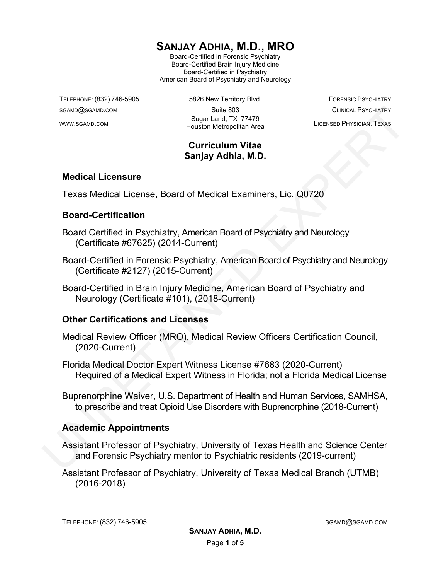# **SANJAY ADHIA, M.D., MRO**

Board-Certified in Forensic Psychiatry Board-Certified Brain Injury Medicine Board-Certified in Psychiatry American Board of Psychiatry and Neurology

TELEPHONE: (832) 746-5905 6826 New Territory Blvd. FORENSIC PSYCHIATRY SGAMD@SGAMD.COM Suite 803 CLINICAL PSYCHIATRY WWW.SGAMD.COM Sugar Land, TX 77479 Houston Metropolitan Area LICENSED PHYSICIAN, TEXAS

# **Curriculum Vitae Sanjay Adhia, M.D.**

#### **Medical Licensure**

Texas Medical License, Board of Medical Examiners, Lic. Q0720

#### **Board-Certification**

- Board Certified in Psychiatry, American Board of Psychiatry and Neurology (Certificate #67625) (2014-Current)
- Board-Certified in Forensic Psychiatry, American Board of Psychiatry and Neurology (Certificate #2127) (2015-Current) Source Control of the Control of the Control of the Control of the Control of the Control of the Control of the Control of the Control of the Control of the Control of the Control of the Control of the Control of the Cont
	- Board-Certified in Brain Injury Medicine, American Board of Psychiatry and Neurology (Certificate #101), (2018-Current)

#### **Other Certifications and Licenses**

- Medical Review Officer (MRO), Medical Review Officers Certification Council, (2020-Current)
- Florida Medical Doctor Expert Witness License #7683 (2020-Current) Required of a Medical Expert Witness in Florida; not a Florida Medical License
- Buprenorphine Waiver, U.S. Department of Health and Human Services, SAMHSA, to prescribe and treat Opioid Use Disorders with Buprenorphine (2018-Current)

#### **Academic Appointments**

- Assistant Professor of Psychiatry, University of Texas Health and Science Center and Forensic Psychiatry mentor to Psychiatric residents (2019-current)
- Assistant Professor of Psychiatry, University of Texas Medical Branch (UTMB) (2016-2018)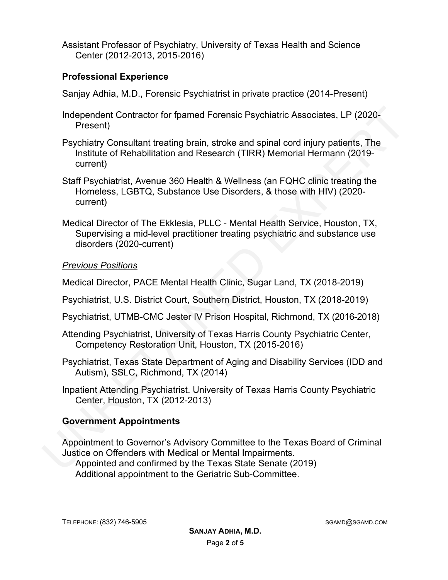Assistant Professor of Psychiatry, University of Texas Health and Science Center (2012-2013, 2015-2016)

# **Professional Experience**

Sanjay Adhia, M.D., Forensic Psychiatrist in private practice (2014-Present)

- Independent Contractor for fpamed Forensic Psychiatric Associates, LP (2020- Present)
- Psychiatry Consultant treating brain, stroke and spinal cord injury patients, The Institute of Rehabilitation and Research (TIRR) Memorial Hermann (2019 current)
- Staff Psychiatrist, Avenue 360 Health & Wellness (an FQHC clinic treating the Homeless, LGBTQ, Substance Use Disorders, & those with HIV) (2020 current)
- Medical Director of The Ekklesia, PLLC Mental Health Service, Houston, TX, Supervising a mid-level practitioner treating psychiatric and substance use disorders (2020-current)

# *Previous Positions*

Medical Director, PACE Mental Health Clinic, Sugar Land, TX (2018-2019)

- Psychiatrist, U.S. District Court, Southern District, Houston, TX (2018-2019)
- Psychiatrist, UTMB-CMC Jester IV Prison Hospital, Richmond, TX (2016-2018)
- Attending Psychiatrist, University of Texas Harris County Psychiatric Center, Competency Restoration Unit, Houston, TX (2015-2016)
- Psychiatrist, Texas State Department of Aging and Disability Services (IDD and Autism), SSLC, Richmond, TX (2014)
- Inpatient Attending Psychiatrist. University of Texas Harris County Psychiatric Center, Houston, TX (2012-2013)

# **Government Appointments**

Appointment to Governor's Advisory Committee to the Texas Board of Criminal Justice on Offenders with Medical or Mental Impairments. Appointed and confirmed by the Texas State Senate (2019) Independent Contractor for fpamed Forensic Psychiatric Associates, LP (2020-<br>Preychiatry Consultant treating brain, stroke and spinal cord injury patients, The<br>Institute of Rehabilitation and Research (TIRR) Memorial Herma Additional appointment to the Geriatric Sub-Committee.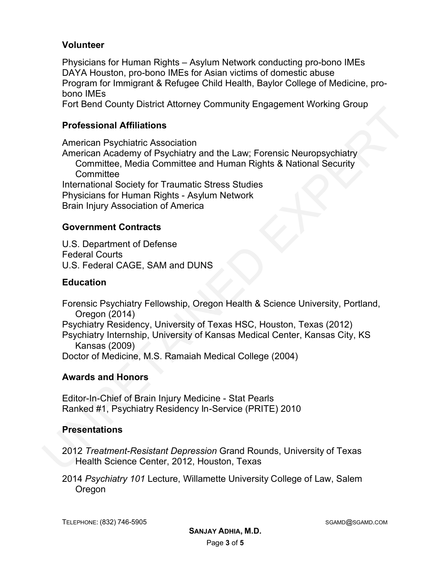# **Volunteer**

Physicians for Human Rights – Asylum Network conducting pro-bono IMEs DAYA Houston, pro-bono IMEs for Asian victims of domestic abuse Program for Immigrant & Refugee Child Health, Baylor College of Medicine, probono IMEs Fort Bend County District Attorney Community Engagement Working Group

#### **Professional Affiliations**

American Psychiatric Association American Academy of Psychiatry and the Law; Forensic Neuropsychiatry Committee, Media Committee and Human Rights & National Security **Committee** International Society for Traumatic Stress Studies Physicians for Human Rights - Asylum Network Brain Injury Association of America Professional Affillations<br>
American Psychiatric Association<br>
American Academy of Psychiatry and the Law; Forensic Neuropsychiatry<br>
Committee, Media Committee and Human Rights & National Security<br>
Committee<br>
Infernational S

#### **Government Contracts**

U.S. Department of Defense Federal Courts U.S. Federal CAGE, SAM and DUNS

#### **Education**

Forensic Psychiatry Fellowship, Oregon Health & Science University, Portland, Oregon (2014) Psychiatry Residency, University of Texas HSC, Houston, Texas (2012) Psychiatry Internship, University of Kansas Medical Center, Kansas City, KS Kansas (2009) Doctor of Medicine, M.S. Ramaiah Medical College (2004)

#### **Awards and Honors**

Editor-In-Chief of Brain Injury Medicine - Stat Pearls Ranked #1, Psychiatry Residency In-Service (PRITE) 2010

# **Presentations**

- 2012 *Treatment-Resistant Depression* Grand Rounds, University of Texas Health Science Center, 2012, Houston, Texas
- 2014 *Psychiatry 101* Lecture, Willamette University College of Law, Salem **Oregon**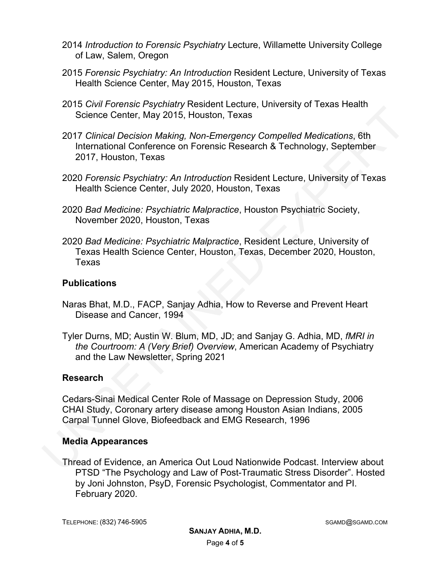- 2014 *Introduction to Forensic Psychiatry* Lecture, Willamette University College of Law, Salem, Oregon
- 2015 *Forensic Psychiatry: An Introduction* Resident Lecture, University of Texas Health Science Center, May 2015, Houston, Texas
- 2015 *Civil Forensic Psychiatry* Resident Lecture, University of Texas Health Science Center, May 2015, Houston, Texas
- 2017 *Clinical Decision Making, Non-Emergency Compelled Medications*, 6th International Conference on Forensic Research & Technology, September 2017, Houston, Texas
- 2020 *Forensic Psychiatry: An Introduction* Resident Lecture, University of Texas Health Science Center, July 2020, Houston, Texas
- 2020 *Bad Medicine: Psychiatric Malpractice*, Houston Psychiatric Society, November 2020, Houston, Texas
- 2020 *Bad Medicine: Psychiatric Malpractice*, Resident Lecture, University of Texas Health Science Center, Houston, Texas, December 2020, Houston, Texas

#### **Publications**

- Naras Bhat, M.D., FACP, Sanjay Adhia, How to Reverse and Prevent Heart Disease and Cancer, 1994
- Tyler Durns, MD; Austin W. Blum, MD, JD; and Sanjay G. Adhia, MD, *fMRI in the Courtroom: A (Very Brief) Overview*, American Academy of Psychiatry and the Law Newsletter, Spring 2021 Science Center, May 2015, Houston, Texas<br>
Science Center, May 2015, Houston, Texas<br>
2017 Clinical Decision Making, Non-Emergency Compelled Medications, 6th<br>
International Conference on Forensic Research & Technology, Septe

# **Research**

Cedars-Sinai Medical Center Role of Massage on Depression Study, 2006 CHAI Study, Coronary artery disease among Houston Asian Indians, 2005 Carpal Tunnel Glove, Biofeedback and EMG Research, 1996

#### **Media Appearances**

Thread of Evidence, an America Out Loud Nationwide Podcast. Interview about PTSD "The Psychology and Law of Post-Traumatic Stress Disorder". Hosted by Joni Johnston, PsyD, Forensic Psychologist, Commentator and PI. February 2020.

TELEPHONE: (832) 746-5905 SGAMD@SGAMD.COM